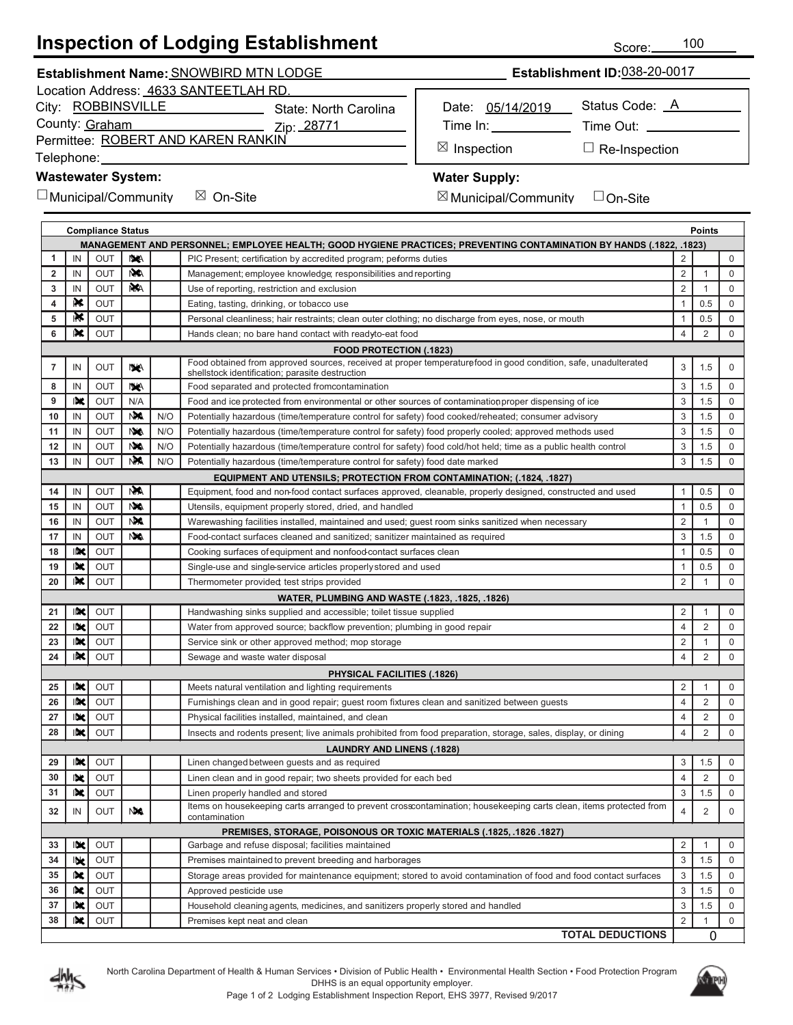## **Inspection of Lodging Establishment**

Location Address: 4633 SANTEETLAH RD.

| City: ROBBINSVILLE                       | <b>State: North Carolina</b> |
|------------------------------------------|------------------------------|
| County: Graham                           | Zip: 28771                   |
| $\sim$ $\sim$ DODERT AND IZADEN DANIZIN' |                              |

Permittee: <u>ROBERT AND KAREN RANKIN</u>

Telephone:

## **Wastewater System:**

 $\Box$  Municipal/Community  $\boxtimes$  On-Site  $\boxtimes$   $\subset$ 

Date: 05/14/2019 Time In: Status Code: A Time Out:

⊠ Ir

Inspection □ Re-Inspection

## **Water Supply:**

 $\boxtimes$  Municipal/Community  $\quad \Box$  On-Site ☐

| <b>Compliance Status</b><br>Points |            |            |           |     |                                                                                                                                                                   |                |              |             |
|------------------------------------|------------|------------|-----------|-----|-------------------------------------------------------------------------------------------------------------------------------------------------------------------|----------------|--------------|-------------|
|                                    |            |            |           |     | (1822, .1822, .1827) MANAGEMENT AND PERSONNEL; EMPLOYEE HEALTH; GOOD HYGIENE PRACTICES; PREVENTING CONTAMINATION BY HANDS                                         |                |              |             |
| 1                                  | IN         | OUT        | <b>NA</b> |     | PIC Present; certification by accredited program; peforms duties                                                                                                  | $\overline{2}$ |              | 0           |
| 2                                  | IN         | <b>OUT</b> | N/A       |     | Management; employee knowledge; responsibilities and reporting                                                                                                    | $\overline{2}$ | 1            | $\mathbf 0$ |
| 3                                  | IN         | OUT        | <b>NA</b> |     | Use of reporting, restriction and exclusion                                                                                                                       | $\overline{2}$ | 1            | 0           |
| 4                                  | ₩          | <b>OUT</b> |           |     | Eating, tasting, drinking, or tobacco use                                                                                                                         | $\mathbf{1}$   | 0.5          | $\mathbf 0$ |
| 5                                  | ⊪Ķ         | <b>OUT</b> |           |     | Personal cleanliness; hair restraints; clean outer clothing; no discharge from eyes, nose, or mouth                                                               | $\mathbf{1}$   | 0.5          | $\mathbf 0$ |
| 6                                  | IK.        | OUT        |           |     | Hands clean; no bare hand contact with readyto-eat food                                                                                                           | $\overline{4}$ | 2            | $\mathsf 0$ |
|                                    |            |            |           |     | <b>FOOD PROTECTION (.1823)</b>                                                                                                                                    |                |              |             |
| 7                                  | IN         | <b>OUT</b> | NA.       |     | Food obtained from approved sources, received at proper temperaturefood in good condition, safe, unadulterated<br>shellstock identification; parasite destruction | 3              | 1.5          | 0           |
| 8                                  | IN         | <b>OUT</b> | <b>NA</b> |     | Food separated and protected fromcontamination                                                                                                                    | 3              | 1.5          | $\mathbf 0$ |
| 9                                  | 吹          | OUT        | N/A       |     | Food and ice protected from environmental or other sources of contamination proper dispensing of ice                                                              | 3              | 1.5          | $\mathbf 0$ |
| 10                                 | IN         | <b>OUT</b> | NA.       | N/O | Potentially hazardous (time/temperature control for safety) food cooked/reheated; consumer advisory                                                               | 3              | 1.5          | 0           |
| 11                                 | IN         | <b>OUT</b> | <b>NA</b> | N/O | Potentially hazardous (time/temperature control for safety) food properly cooled; approved methods used                                                           | 3              | 1.5          | $\mathbf 0$ |
| 12                                 | IN         | OUT        | <b>NA</b> | N/O | Potentially hazardous (time/temperature control for safety) food cold/hot held; time as a public health control                                                   | 3              | 1.5          | $\mathbf 0$ |
| 13                                 | IN         | <b>OUT</b> | <b>NM</b> | N/O | Potentially hazardous (time/temperature control for safety) food date marked                                                                                      | 3              | 1.5          | $\mathsf 0$ |
|                                    |            |            |           |     | <b>EQUIPMENT AND UTENSILS; PROTECTION FROM CONTAMINATION; (.1824, .1827)</b>                                                                                      |                |              |             |
| 14                                 | IN         | OUT        | <b>NA</b> |     | Equipment, food and non-food contact surfaces approved, cleanable, properly designed, constructed and used                                                        | $\mathbf{1}$   | 0.5          | $\mathbf 0$ |
| 15                                 | IN         | <b>OUT</b> | <b>NA</b> |     | Utensils, equipment properly stored, dried, and handled                                                                                                           | $\mathbf{1}$   | 0.5          | $\mathbf 0$ |
| 16                                 | IN         | OUT        | <b>NA</b> |     | Warewashing facilities installed, maintained and used; guest room sinks sanitized when necessary                                                                  | $\overline{2}$ | 1            | 0           |
| 17                                 | IN         | OUT        | <b>NA</b> |     | Food-contact surfaces cleaned and sanitized; sanitizer maintained as required                                                                                     | 3              | 1.5          | $\mathbf 0$ |
| 18                                 | INC        | OUT        |           |     | Cooking surfaces of equipment and nonfood contact surfaces clean                                                                                                  | $\mathbf{1}$   | 0.5          | $\mathbf 0$ |
| 19                                 | IX         | OUT        |           |     | Single-use and single-service articles properly stored and used                                                                                                   | $\mathbf{1}$   | 0.5          | $\mathbf 0$ |
| 20                                 | IN.        | OUT        |           |     | Thermometer provided test strips provided                                                                                                                         | $\overline{2}$ | $\mathbf{1}$ | $\mathsf 0$ |
|                                    |            |            |           |     | WATER, PLUMBING AND WASTE (.1823, .1825, .1826)                                                                                                                   |                |              |             |
| 21                                 | INC        | OUT        |           |     | Handwashing sinks supplied and accessible; toilet tissue supplied                                                                                                 | $\overline{2}$ |              | $\mathbf 0$ |
| 22                                 | like.      | OUT        |           |     | Water from approved source; backflow prevention; plumbing in good repair                                                                                          | $\overline{4}$ | 2            | $\mathbf 0$ |
| 23                                 | INC        | OUT        |           |     | Service sink or other approved method; mop storage                                                                                                                | $\overline{2}$ | 1            | $\mathbf 0$ |
| 24                                 | INC        | OUT        |           |     | Sewage and waste water disposal                                                                                                                                   | 4              | 2            | 0           |
|                                    |            |            |           |     | PHYSICAL FACILITIES (.1826)                                                                                                                                       |                |              |             |
| 25                                 | IX         | OUT        |           |     | Meets natural ventilation and lighting requirements                                                                                                               | $\overline{2}$ |              | 0           |
| 26                                 | INC        | OUT        |           |     | Furnishings clean and in good repair; guest room fixtures clean and sanitized between guests                                                                      | $\overline{4}$ | 2            | $\mathbf 0$ |
| 27                                 | IX         | OUT        |           |     | Physical facilities installed, maintained, and clean                                                                                                              | $\overline{4}$ | 2            | 0           |
| 28                                 | IX         | OUT        |           |     | Insects and rodents present; live animals prohibited from food preparation, storage, sales, display, or dining                                                    | $\overline{4}$ | 2            | $\mathbf 0$ |
|                                    |            |            |           |     | <b>LAUNDRY AND LINENS (.1828)</b>                                                                                                                                 |                |              |             |
| 29                                 | IX         | OUT        |           |     | Linen changed between guests and as required                                                                                                                      | 3              | 1.5          | $\mathbf 0$ |
| 30                                 | Ibk.       | <b>OUT</b> |           |     | Linen clean and in good repair; two sheets provided for each bed                                                                                                  | $\overline{4}$ | 2            | 0           |
| 31                                 | 映          | OUT        |           |     | Linen properly handled and stored                                                                                                                                 | 3              | 1.5          | 0           |
| 32                                 | IN         | OUT        | <b>NA</b> |     | Items on housekeeping carts arranged to prevent crosscontamination; housekeeping carts clean, items protected from<br>contamination                               | 4              | 2            | 0           |
|                                    |            |            |           |     | PREMISES, STORAGE, POISONOUS OR TOXIC MATERIALS (.1825, .1826 .1827)                                                                                              |                |              |             |
| 33                                 | IX         | OUT        |           |     | Garbage and refuse disposal; facilities maintained                                                                                                                | $\overline{2}$ | 1            | 0           |
| 34                                 | <b>IDR</b> | <b>OUT</b> |           |     | Premises maintained to prevent breeding and harborages                                                                                                            | 3              | 1.5          | 0           |
| 35                                 | 吠          | <b>OUT</b> |           |     | Storage areas provided for maintenance equipment; stored to avoid contamination of food and food contact surfaces                                                 | 3              | 1.5          | 0           |
| 36                                 | 吠          | OUT        |           |     | Approved pesticide use                                                                                                                                            | 3              | 1.5          | 0           |
| 37                                 | INC        | <b>OUT</b> |           |     | Household cleaning agents, medicines, and sanitizers properly stored and handled                                                                                  | 3              | 1.5          | 0           |
| 38                                 | IN.        | <b>OUT</b> |           |     | Premises kept neat and clean                                                                                                                                      | $\overline{2}$ | 1            | 0           |
|                                    |            |            |           |     | <b>TOTAL DEDUCTIONS</b>                                                                                                                                           |                | 0            |             |





Score: 100